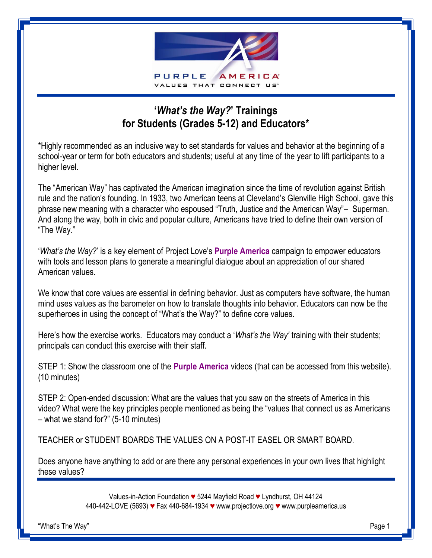

## **'***What's the Way?***' Trainings for Students (Grades 5-12) and Educators\***

\*Highly recommended as an inclusive way to set standards for values and behavior at the beginning of a school-year or term for both educators and students; useful at any time of the year to lift participants to a higher level.

The "American Way" has captivated the American imagination since the time of revolution against British rule and the nation's founding. In 1933, two American teens at Cleveland's Glenville High School, gave this phrase new meaning with a character who espoused "Truth, Justice and the American Way"– Superman. And along the way, both in civic and popular culture, Americans have tried to define their own version of "The Way."

'*What's the Way?*' is a key element of Project Love's **Purple America** campaign to empower educators with tools and lesson plans to generate a meaningful dialogue about an appreciation of our shared American values.

We know that core values are essential in defining behavior. Just as computers have software, the human mind uses values as the barometer on how to translate thoughts into behavior. Educators can now be the superheroes in using the concept of "What's the Way?" to define core values.

Here's how the exercise works. Educators may conduct a '*What's the Way'* training with their students; principals can conduct this exercise with their staff.

STEP 1: Show the classroom one of the **Purple America** videos (that can be accessed from this website). (10 minutes)

STEP 2: Open-ended discussion: What are the values that you saw on the streets of America in this video? What were the key principles people mentioned as being the "values that connect us as Americans – what we stand for?" (5-10 minutes)

TEACHER or STUDENT BOARDS THE VALUES ON A POST-IT EASEL OR SMART BOARD.

Does anyone have anything to add or are there any personal experiences in your own lives that highlight these values?

> Values-in-Action Foundation *♥* 5244 Mayfield Road *♥* Lyndhurst, OH 44124 440-442-LOVE (5693) *♥* Fax 440-684-1934 *♥* www.projectlove.org *♥* www.purpleamerica.us

"What's The Way" Page 1